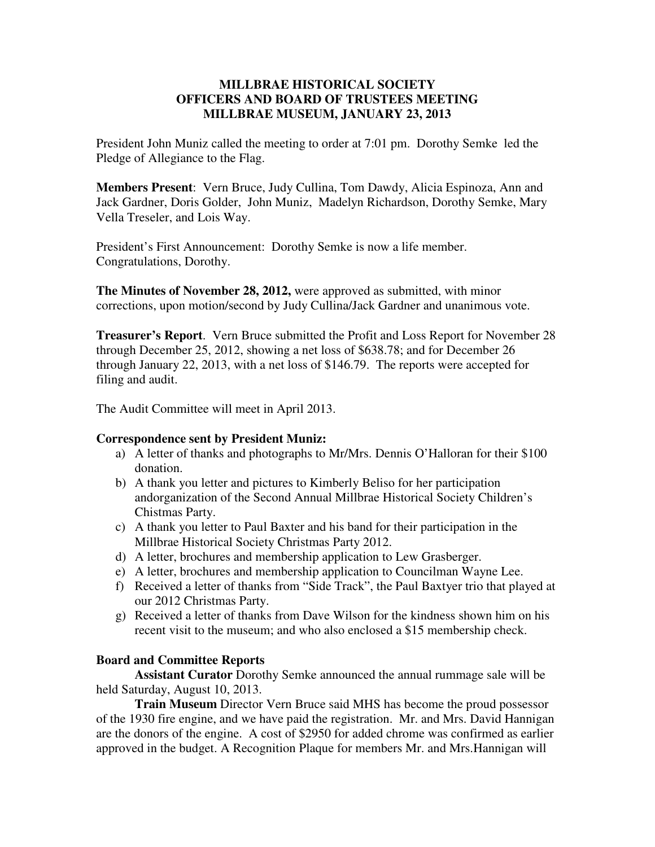## **MILLBRAE HISTORICAL SOCIETY OFFICERS AND BOARD OF TRUSTEES MEETING MILLBRAE MUSEUM, JANUARY 23, 2013**

President John Muniz called the meeting to order at 7:01 pm. Dorothy Semke led the Pledge of Allegiance to the Flag.

**Members Present**: Vern Bruce, Judy Cullina, Tom Dawdy, Alicia Espinoza, Ann and Jack Gardner, Doris Golder, John Muniz, Madelyn Richardson, Dorothy Semke, Mary Vella Treseler, and Lois Way.

President's First Announcement: Dorothy Semke is now a life member. Congratulations, Dorothy.

**The Minutes of November 28, 2012,** were approved as submitted, with minor corrections, upon motion/second by Judy Cullina/Jack Gardner and unanimous vote.

**Treasurer's Report**. Vern Bruce submitted the Profit and Loss Report for November 28 through December 25, 2012, showing a net loss of \$638.78; and for December 26 through January 22, 2013, with a net loss of \$146.79. The reports were accepted for filing and audit.

The Audit Committee will meet in April 2013.

## **Correspondence sent by President Muniz:**

- a) A letter of thanks and photographs to Mr/Mrs. Dennis O'Halloran for their \$100 donation.
- b) A thank you letter and pictures to Kimberly Beliso for her participation andorganization of the Second Annual Millbrae Historical Society Children's Chistmas Party.
- c) A thank you letter to Paul Baxter and his band for their participation in the Millbrae Historical Society Christmas Party 2012.
- d) A letter, brochures and membership application to Lew Grasberger.
- e) A letter, brochures and membership application to Councilman Wayne Lee.
- f) Received a letter of thanks from "Side Track", the Paul Baxtyer trio that played at our 2012 Christmas Party.
- g) Received a letter of thanks from Dave Wilson for the kindness shown him on his recent visit to the museum; and who also enclosed a \$15 membership check.

## **Board and Committee Reports**

 **Assistant Curator** Dorothy Semke announced the annual rummage sale will be held Saturday, August 10, 2013.

**Train Museum** Director Vern Bruce said MHS has become the proud possessor of the 1930 fire engine, and we have paid the registration. Mr. and Mrs. David Hannigan are the donors of the engine. A cost of \$2950 for added chrome was confirmed as earlier approved in the budget. A Recognition Plaque for members Mr. and Mrs.Hannigan will